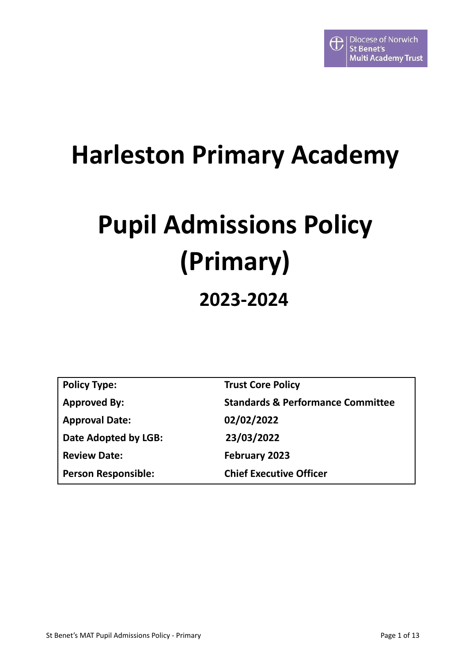# **Harleston Primary Academy**

# **Pupil Admissions Policy (Primary) 2023-2024**

| <b>Policy Type:</b>        | <b>Trust Core Policy</b>                     |
|----------------------------|----------------------------------------------|
| <b>Approved By:</b>        | <b>Standards &amp; Performance Committee</b> |
| <b>Approval Date:</b>      | 02/02/2022                                   |
| Date Adopted by LGB:       | 23/03/2022                                   |
| <b>Review Date:</b>        | February 2023                                |
| <b>Person Responsible:</b> | <b>Chief Executive Officer</b>               |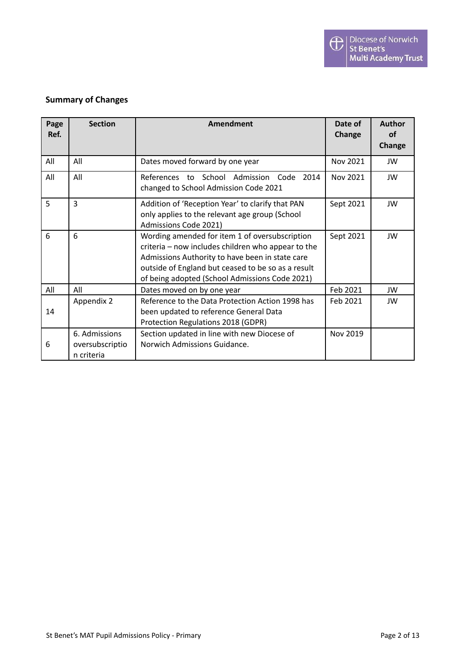#### **Summary of Changes**

| Page<br>Ref. | <b>Section</b>                                 | Amendment                                                                                                                                                                                                                                                       | Date of<br>Change | <b>Author</b><br><b>of</b><br>Change |
|--------------|------------------------------------------------|-----------------------------------------------------------------------------------------------------------------------------------------------------------------------------------------------------------------------------------------------------------------|-------------------|--------------------------------------|
| All          | All                                            | Dates moved forward by one year                                                                                                                                                                                                                                 | Nov 2021          | JW                                   |
| All          | All                                            | References to School Admission Code<br>2014<br>changed to School Admission Code 2021                                                                                                                                                                            | Nov 2021          | JW                                   |
| 5            | 3                                              | Addition of 'Reception Year' to clarify that PAN<br>only applies to the relevant age group (School<br>Admissions Code 2021)                                                                                                                                     | Sept 2021         | JW                                   |
| 6            | 6                                              | Wording amended for item 1 of oversubscription<br>criteria - now includes children who appear to the<br>Admissions Authority to have been in state care<br>outside of England but ceased to be so as a result<br>of being adopted (School Admissions Code 2021) | Sept 2021         | JW                                   |
| All          | All                                            | Dates moved on by one year                                                                                                                                                                                                                                      | Feb 2021          | JW                                   |
| 14           | Appendix 2                                     | Reference to the Data Protection Action 1998 has<br>been updated to reference General Data<br>Protection Regulations 2018 (GDPR)                                                                                                                                | Feb 2021          | JW                                   |
| 6            | 6. Admissions<br>oversubscriptio<br>n criteria | Section updated in line with new Diocese of<br>Norwich Admissions Guidance.                                                                                                                                                                                     | Nov 2019          |                                      |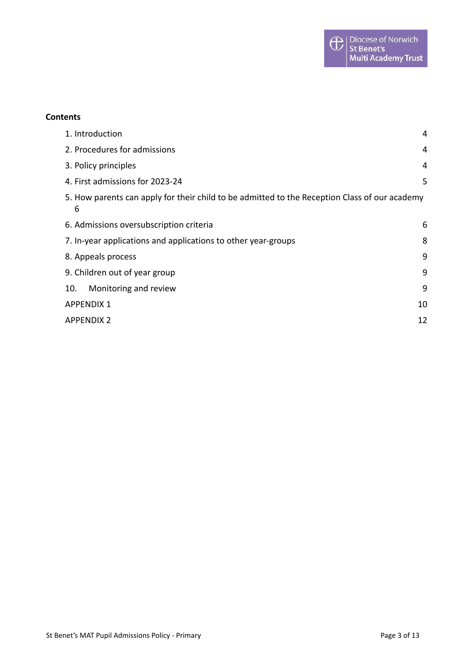#### **Contents**

| 1. Introduction                                                                                    | 4  |
|----------------------------------------------------------------------------------------------------|----|
| 2. Procedures for admissions                                                                       | 4  |
| 3. Policy principles                                                                               | 4  |
| 4. First admissions for 2023-24                                                                    | 5  |
| 5. How parents can apply for their child to be admitted to the Reception Class of our academy<br>6 |    |
| 6. Admissions oversubscription criteria                                                            | 6  |
| 7. In-year applications and applications to other year-groups                                      |    |
| 8. Appeals process                                                                                 | 9  |
| 9. Children out of year group                                                                      | 9  |
| Monitoring and review<br>10.                                                                       | 9  |
| <b>APPENDIX 1</b>                                                                                  | 10 |
| <b>APPENDIX 2</b>                                                                                  | 12 |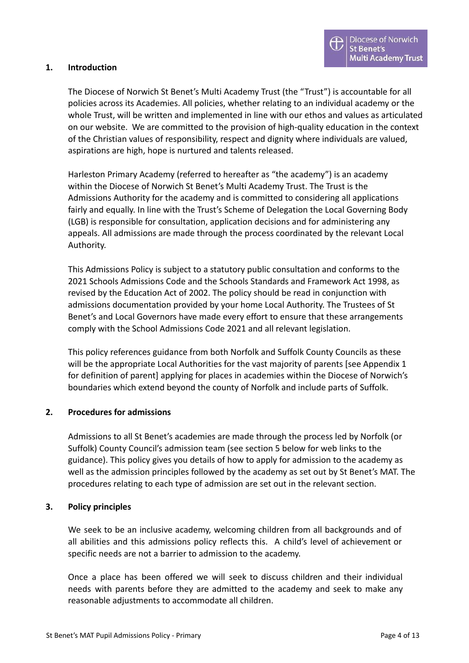#### <span id="page-3-0"></span>**1. Introduction**

The Diocese of Norwich St Benet's Multi Academy Trust (the "Trust") is accountable for all policies across its Academies. All policies, whether relating to an individual academy or the whole Trust, will be written and implemented in line with our ethos and values as articulated on our website. We are committed to the provision of high-quality education in the context of the Christian values of responsibility, respect and dignity where individuals are valued, aspirations are high, hope is nurtured and talents released.

Harleston Primary Academy (referred to hereafter as "the academy") is an academy within the Diocese of Norwich St Benet's Multi Academy Trust. The Trust is the Admissions Authority for the academy and is committed to considering all applications fairly and equally. In line with the Trust's Scheme of Delegation the Local Governing Body (LGB) is responsible for consultation, application decisions and for administering any appeals. All admissions are made through the process coordinated by the relevant Local Authority.

This Admissions Policy is subject to a statutory public consultation and conforms to the 2021 Schools Admissions Code and the Schools Standards and Framework Act 1998, as revised by the Education Act of 2002. The policy should be read in conjunction with admissions documentation provided by your home Local Authority. The Trustees of St Benet's and Local Governors have made every effort to ensure that these arrangements comply with the School Admissions Code 2021 and all relevant legislation.

This policy references guidance from both Norfolk and Suffolk County Councils as these will be the appropriate Local Authorities for the vast majority of parents [see Appendix 1 for definition of parent] applying for places in academies within the Diocese of Norwich's boundaries which extend beyond the county of Norfolk and include parts of Suffolk.

#### <span id="page-3-1"></span>**2. Procedures for admissions**

Admissions to all St Benet's academies are made through the process led by Norfolk (or Suffolk) County Council's admission team (see section 5 below for web links to the guidance). This policy gives you details of how to apply for admission to the academy as well as the admission principles followed by the academy as set out by St Benet's MAT. The procedures relating to each type of admission are set out in the relevant section.

#### <span id="page-3-2"></span>**3. Policy principles**

We seek to be an inclusive academy, welcoming children from all backgrounds and of all abilities and this admissions policy reflects this. A child's level of achievement or specific needs are not a barrier to admission to the academy.

Once a place has been offered we will seek to discuss children and their individual needs with parents before they are admitted to the academy and seek to make any reasonable adjustments to accommodate all children.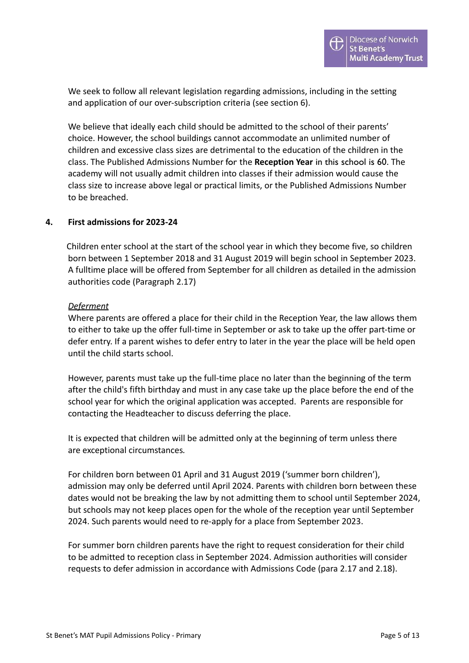We seek to follow all relevant legislation regarding admissions, including in the setting and application of our over-subscription criteria (see section 6).

We believe that ideally each child should be admitted to the school of their parents' choice. However, the school buildings cannot accommodate an unlimited number of children and excessive class sizes are detrimental to the education of the children in the class. The Published Admissions Number for the **Reception Year** in this school is 60. The academy will not usually admit children into classes if their admission would cause the class size to increase above legal or practical limits, or the Published Admissions Number to be breached.

#### <span id="page-4-0"></span>**4. First admissions for 2023-24**

Children enter school at the start of the school year in which they become five, so children born between 1 September 2018 and 31 August 2019 will begin school in September 2023. A fulltime place will be offered from September for all children as detailed in the admission authorities code (Paragraph 2.17)

#### *Deferment*

Where parents are offered a place for their child in the Reception Year, the law allows them to either to take up the offer full-time in September or ask to take up the offer part-time or defer entry. If a parent wishes to defer entry to later in the year the place will be held open until the child starts school.

However, parents must take up the full-time place no later than the beginning of the term after the child's fifth birthday and must in any case take up the place before the end of the school year for which the original application was accepted. Parents are responsible for contacting the Headteacher to discuss deferring the place.

It is expected that children will be admitted only at the beginning of term unless there are exceptional circumstances*.*

For children born between 01 April and 31 August 2019 ('summer born children'), admission may only be deferred until April 2024. Parents with children born between these dates would not be breaking the law by not admitting them to school until September 2024, but schools may not keep places open for the whole of the reception year until September 2024. Such parents would need to re-apply for a place from September 2023.

For summer born children parents have the right to request consideration for their child to be admitted to reception class in September 2024. Admission authorities will consider requests to defer admission in accordance with Admissions Code (para 2.17 and 2.18).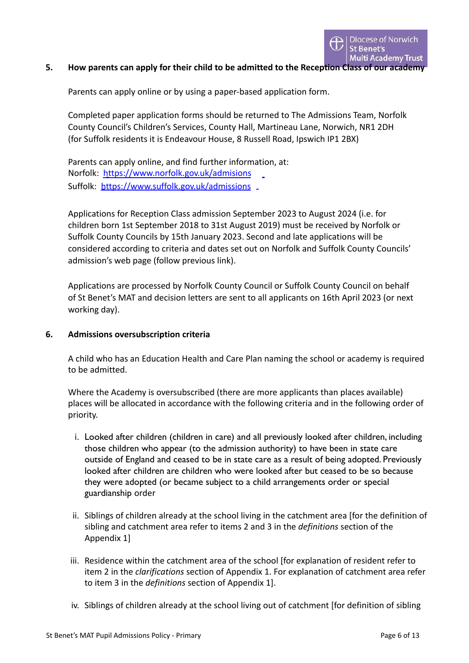#### <span id="page-5-0"></span>**5. How parents can apply for their child to be admitted to the Reception Class of our academy**

Parents can apply online or by using a paper-based application form.

Completed paper application forms should be returned to The Admissions Team, Norfolk County Council's Children's Services, County Hall, Martineau Lane, Norwich, NR1 2DH (for Suffolk residents it is Endeavour House, 8 Russell Road, Ipswich IP1 2BX)

Parents can apply online, and find further information, at: Norfolk: <https://www.norfolk.gov.uk/admisions> Suffolk: <https://www.suffolk.gov.uk/admissions> \_

Applications for Reception Class admission September 2023 to August 2024 (i.e. for children born 1st September 2018 to 31st August 2019) must be received by Norfolk or Suffolk County Councils by 15th January 2023. Second and late applications will be considered according to criteria and dates set out on Norfolk and Suffolk County Councils' admission's web page (follow previous link).

Applications are processed by Norfolk County Council or Suffolk County Council on behalf of St Benet's MAT and decision letters are sent to all applicants on 16th April 2023 (or next working day).

#### <span id="page-5-1"></span>**6. Admissions oversubscription criteria**

A child who has an Education Health and Care Plan naming the school or academy is required to be admitted.

Where the Academy is oversubscribed (there are more applicants than places available) places will be allocated in accordance with the following criteria and in the following order of priority.

- i. Looked after children (children in care) and all previously looked after children, including those children who appear (to the admission authority) to have been in state care outside of England and ceased to be in state care as a result of being adopted. Previously looked after children are children who were looked after but ceased to be so because they were adopted (or became subject to a child arrangements order or special guardianship order
- ii. Siblings of children already at the school living in the catchment area [for the definition of sibling and catchment area refer to items 2 and 3 in the *definitions* section of the Appendix 1]
- iii. Residence within the catchment area of the school [for explanation of resident refer to item 2 in the *clarifications* section of Appendix 1. For explanation of catchment area refer to item 3 in the *definitions* section of Appendix 1].
- iv. Siblings of children already at the school living out of catchment [for definition of sibling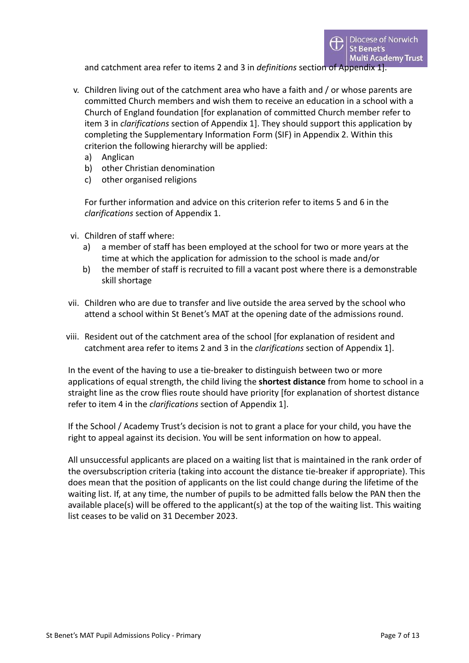and catchment area refer to items 2 and 3 in *definitions* section of Appendix 1].

- v. Children living out of the catchment area who have a faith and / or whose parents are committed Church members and wish them to receive an education in a school with a Church of England foundation [for explanation of committed Church member refer to item 3 in *clarifications* section of Appendix 1]. They should support this application by completing the Supplementary Information Form (SIF) in Appendix 2. Within this criterion the following hierarchy will be applied:
	- a) Anglican
	- b) other Christian denomination
	- c) other organised religions

For further information and advice on this criterion refer to items 5 and 6 in the *clarifications* section of Appendix 1.

- vi. Children of staff where:
	- a) a member of staff has been employed at the school for two or more years at the time at which the application for admission to the school is made and/or
	- b) the member of staff is recruited to fill a vacant post where there is a demonstrable skill shortage
- vii. Children who are due to transfer and live outside the area served by the school who attend a school within St Benet's MAT at the opening date of the admissions round.
- viii. Resident out of the catchment area of the school [for explanation of resident and catchment area refer to items 2 and 3 in the *clarifications* section of Appendix 1].

In the event of the having to use a tie-breaker to distinguish between two or more applications of equal strength, the child living the **shortest distance** from home to school in a straight line as the crow flies route should have priority [for explanation of shortest distance refer to item 4 in the *clarifications* section of Appendix 1].

If the School / Academy Trust's decision is not to grant a place for your child, you have the right to appeal against its decision. You will be sent information on how to appeal.

All unsuccessful applicants are placed on a waiting list that is maintained in the rank order of the oversubscription criteria (taking into account the distance tie-breaker if appropriate). This does mean that the position of applicants on the list could change during the lifetime of the waiting list. If, at any time, the number of pupils to be admitted falls below the PAN then the available place(s) will be offered to the applicant(s) at the top of the waiting list. This waiting list ceases to be valid on 31 December 2023.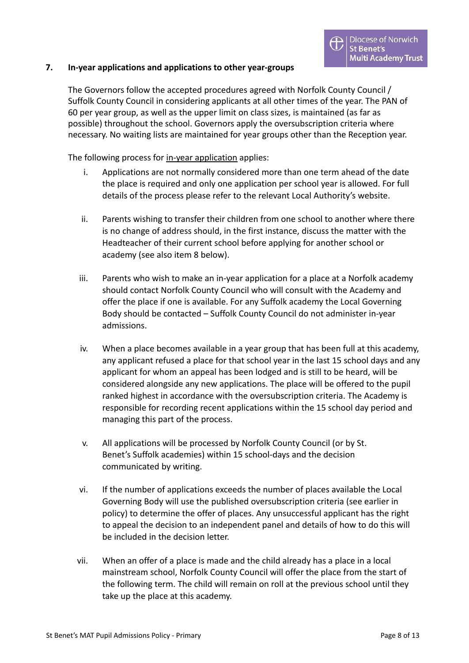#### <span id="page-7-0"></span>**7. In-year applications and applications to other year-groups**

The Governors follow the accepted procedures agreed with Norfolk County Council / Suffolk County Council in considering applicants at all other times of the year. The PAN of 60 per year group, as well as the upper limit on class sizes, is maintained (as far as possible) throughout the school. Governors apply the oversubscription criteria where necessary. No waiting lists are maintained for year groups other than the Reception year.

The following process for in-year application applies:

- i. Applications are not normally considered more than one term ahead of the date the place is required and only one application per school year is allowed. For full details of the process please refer to the relevant Local Authority's website.
- ii. Parents wishing to transfer their children from one school to another where there is no change of address should, in the first instance, discuss the matter with the Headteacher of their current school before applying for another school or academy (see also item 8 below).
- iii. Parents who wish to make an in-year application for a place at a Norfolk academy should contact Norfolk County Council who will consult with the Academy and offer the place if one is available. For any Suffolk academy the Local Governing Body should be contacted – Suffolk County Council do not administer in-year admissions.
- iv. When a place becomes available in a year group that has been full at this academy, any applicant refused a place for that school year in the last 15 school days and any applicant for whom an appeal has been lodged and is still to be heard, will be considered alongside any new applications. The place will be offered to the pupil ranked highest in accordance with the oversubscription criteria. The Academy is responsible for recording recent applications within the 15 school day period and managing this part of the process.
- v. All applications will be processed by Norfolk County Council (or by St. Benet's Suffolk academies) within 15 school-days and the decision communicated by writing.
- vi. If the number of applications exceeds the number of places available the Local Governing Body will use the published oversubscription criteria (see earlier in policy) to determine the offer of places. Any unsuccessful applicant has the right to appeal the decision to an independent panel and details of how to do this will be included in the decision letter.
- vii. When an offer of a place is made and the child already has a place in a local mainstream school, Norfolk County Council will offer the place from the start of the following term. The child will remain on roll at the previous school until they take up the place at this academy.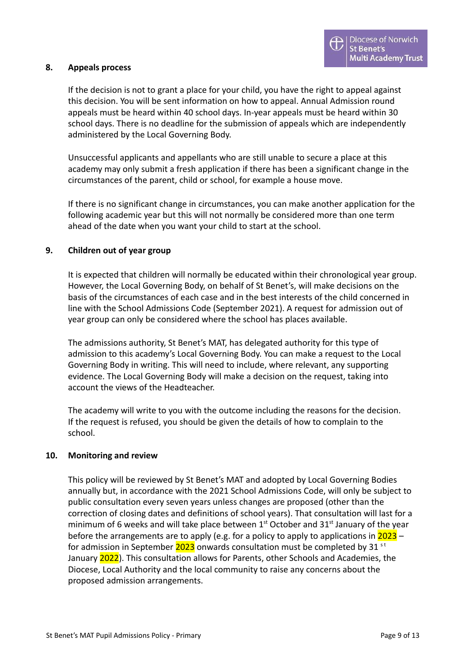#### <span id="page-8-0"></span>**8. Appeals process**

If the decision is not to grant a place for your child, you have the right to appeal against this decision. You will be sent information on how to appeal. Annual Admission round appeals must be heard within 40 school days. In-year appeals must be heard within 30 school days. There is no deadline for the submission of appeals which are independently administered by the Local Governing Body.

Unsuccessful applicants and appellants who are still unable to secure a place at this academy may only submit a fresh application if there has been a significant change in the circumstances of the parent, child or school, for example a house move.

If there is no significant change in circumstances, you can make another application for the following academic year but this will not normally be considered more than one term ahead of the date when you want your child to start at the school.

#### <span id="page-8-1"></span>**9. Children out of year group**

It is expected that children will normally be educated within their chronological year group. However, the Local Governing Body, on behalf of St Benet's, will make decisions on the basis of the circumstances of each case and in the best interests of the child concerned in line with the School Admissions Code (September 2021). A request for admission out of year group can only be considered where the school has places available.

The admissions authority, St Benet's MAT, has delegated authority for this type of admission to this academy's Local Governing Body. You can make a request to the Local Governing Body in writing. This will need to include, where relevant, any supporting evidence. The Local Governing Body will make a decision on the request, taking into account the views of the Headteacher.

The academy will write to you with the outcome including the reasons for the decision. If the request is refused, you should be given the details of how to complain to the school.

#### <span id="page-8-2"></span>**10. Monitoring and review**

This policy will be reviewed by St Benet's MAT and adopted by Local Governing Bodies annually but, in accordance with the 2021 School Admissions Code, will only be subject to public consultation every seven years unless changes are proposed (other than the correction of closing dates and definitions of school years). That consultation will last for a minimum of 6 weeks and will take place between  $1<sup>st</sup>$  October and 31 $<sup>st</sup>$  January of the year</sup> before the arrangements are to apply (e.g. for a policy to apply to applications in  $2023$ for admission in September  $2023$  onwards consultation must be completed by 31  $\mathrm{^{st}}$ January 2022). This consultation allows for Parents, other Schools and Academies, the Diocese, Local Authority and the local community to raise any concerns about the proposed admission arrangements.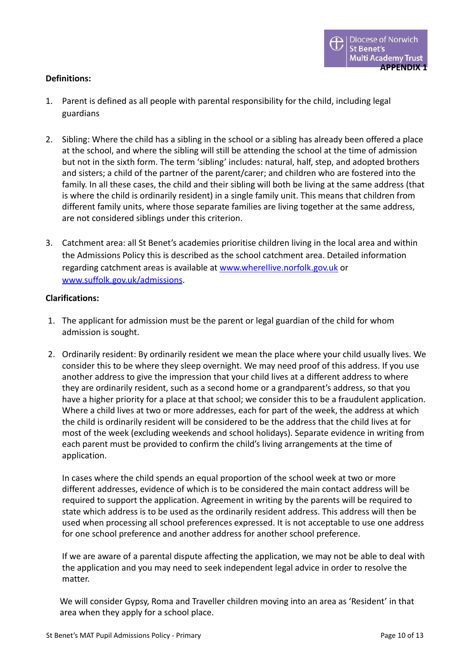#### <span id="page-9-0"></span>**Definitions:**

- 1. Parent is defined as all people with parental responsibility for the child, including legal guardians
- 2. Sibling: Where the child has a sibling in the school or a sibling has already been offered a place at the school, and where the sibling will still be attending the school at the time of admission but not in the sixth form. The term 'sibling' includes: natural, half, step, and adopted brothers and sisters; a child of the partner of the parent/carer; and children who are fostered into the family. In all these cases, the child and their sibling will both be living at the same address (that is where the child is ordinarily resident) in a single family unit. This means that children from different family units, where those separate families are living together at the same address, are not considered siblings under this criterion.
- 3. Catchment area: all St Benet's academies prioritise children living in the local area and within the Admissions Policy this is described as the school catchment area. Detailed information regarding catchment areas is available at www.wherellive.norfolk.gov.uk or [www.suffolk.gov.uk/admissions](http://www.suffolk.gov.uk/admissions).

#### **Clarifications:**

- 1. The applicant for admission must be the parent or legal guardian of the child for whom admission is sought.
- 2. Ordinarily resident: By ordinarily resident we mean the place where your child usually lives. We consider this to be where they sleep overnight. We may need proof of this address. If you use another address to give the impression that your child lives at a different address to where they are ordinarily resident, such as a second home or a grandparent's address, so that you have a higher priority for a place at that school; we consider this to be a fraudulent application. Where a child lives at two or more addresses, each for part of the week, the address at which the child is ordinarily resident will be considered to be the address that the child lives at for most of the week (excluding weekends and school holidays). Separate evidence in writing from each parent must be provided to confirm the child's living arrangements at the time of application.

In cases where the child spends an equal proportion of the school week at two or more different addresses, evidence of which is to be considered the main contact address will be required to support the application. Agreement in writing by the parents will be required to state which address is to be used as the ordinarily resident address. This address will then be used when processing all school preferences expressed. It is not acceptable to use one address for one school preference and another address for another school preference.

If we are aware of a parental dispute affecting the application, we may not be able to deal with the application and you may need to seek independent legal advice in order to resolve the matter.

We will consider Gypsy, Roma and Traveller children moving into an area as 'Resident' in that area when they apply for a school place.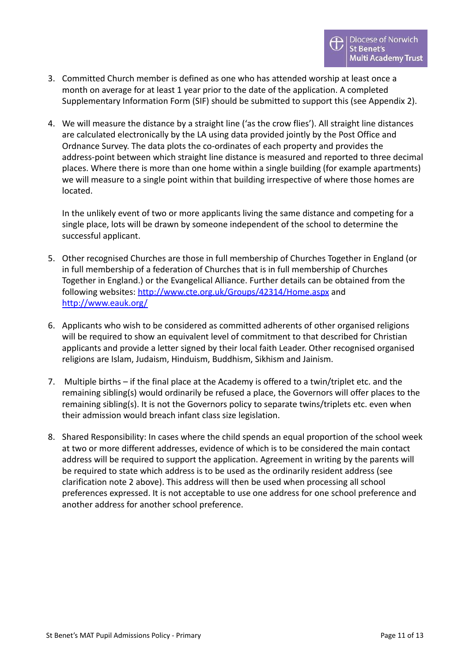- 3. Committed Church member is defined as one who has attended worship at least once a month on average for at least 1 year prior to the date of the application. A completed Supplementary Information Form (SIF) should be submitted to support this (see Appendix 2).
- 4. We will measure the distance by a straight line ('as the crow flies'). All straight line distances are calculated electronically by the LA using data provided jointly by the Post Office and Ordnance Survey. The data plots the co-ordinates of each property and provides the address-point between which straight line distance is measured and reported to three decimal places. Where there is more than one home within a single building (for example apartments) we will measure to a single point within that building irrespective of where those homes are located.

In the unlikely event of two or more applicants living the same distance and competing for a single place, lots will be drawn by someone independent of the school to determine the successful applicant.

- 5. Other recognised Churches are those in full membership of Churches Together in England (or in full membership of a federation of Churches that is in full membership of Churches Together in England.) or the Evangelical Alliance. Further details can be obtained from the following websites: <http://www.cte.org.uk/Groups/42314/Home.aspx> and <http://www.eauk.org/>
- 6. Applicants who wish to be considered as committed adherents of other organised religions will be required to show an equivalent level of commitment to that described for Christian applicants and provide a letter signed by their local faith Leader. Other recognised organised religions are Islam, Judaism, Hinduism, Buddhism, Sikhism and Jainism.
- 7. Multiple births if the final place at the Academy is offered to a twin/triplet etc. and the remaining sibling(s) would ordinarily be refused a place, the Governors will offer places to the remaining sibling(s). It is not the Governors policy to separate twins/triplets etc. even when their admission would breach infant class size legislation.
- 8. Shared Responsibility: In cases where the child spends an equal proportion of the school week at two or more different addresses, evidence of which is to be considered the main contact address will be required to support the application. Agreement in writing by the parents will be required to state which address is to be used as the ordinarily resident address (see clarification note 2 above). This address will then be used when processing all school preferences expressed. It is not acceptable to use one address for one school preference and another address for another school preference.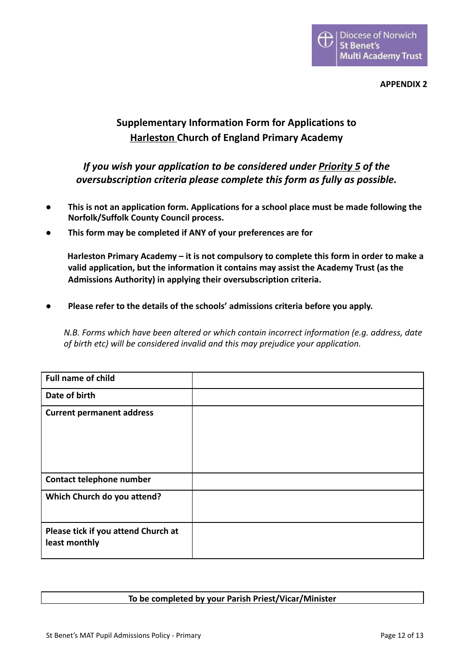**APPENDIX 2**

## <span id="page-11-0"></span>**Supplementary Information Form for Applications to Harleston Church of England Primary Academy**

### *If you wish your application to be considered under Priority 5 of the oversubscription criteria please complete this form as fully as possible.*

- **● This is not an application form. Applications for a school place must be made following the Norfolk/Suffolk County Council process.**
- **● This form may be completed if ANY of your preferences are for**

**Harleston Primary Academy – it is not compulsory to complete this form in order to make a valid application, but the information it contains may assist the Academy Trust (as the Admissions Authority) in applying their oversubscription criteria.**

**● Please refer to the details of the schools' admissions criteria before you apply.**

*N.B. Forms which have been altered or which contain incorrect information (e.g. address, date of birth etc) will be considered invalid and this may prejudice your application.*

| <b>Full name of child</b>                            |  |
|------------------------------------------------------|--|
| Date of birth                                        |  |
| <b>Current permanent address</b>                     |  |
| Contact telephone number                             |  |
| Which Church do you attend?                          |  |
| Please tick if you attend Church at<br>least monthly |  |

#### **To be completed by your Parish Priest/Vicar/Minister**